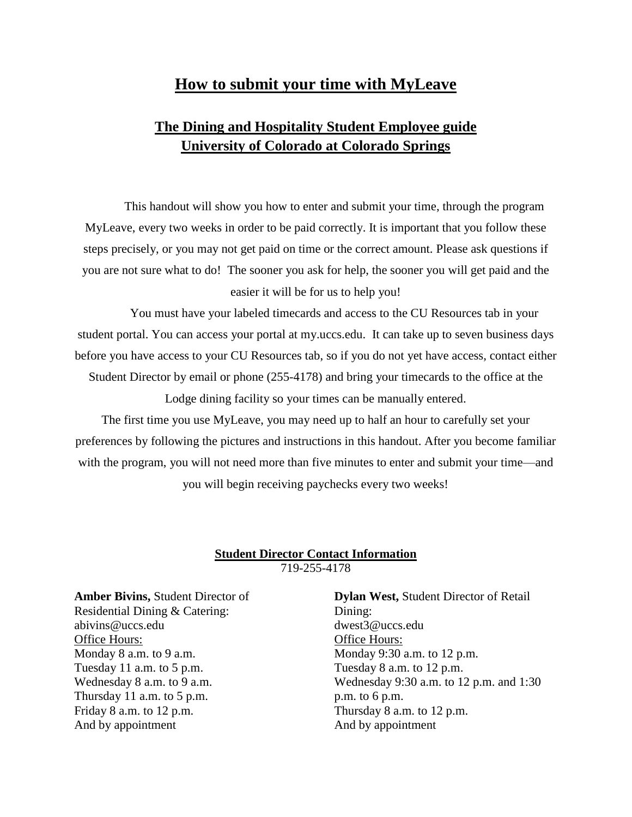## **How to submit your time with MyLeave**

## **The Dining and Hospitality Student Employee guide University of Colorado at Colorado Springs**

This handout will show you how to enter and submit your time, through the program MyLeave, every two weeks in order to be paid correctly. It is important that you follow these steps precisely, or you may not get paid on time or the correct amount. Please ask questions if you are not sure what to do! The sooner you ask for help, the sooner you will get paid and the easier it will be for us to help you!

You must have your labeled timecards and access to the CU Resources tab in your student portal. You can access your portal at my.uccs.edu. It can take up to seven business days before you have access to your CU Resources tab, so if you do not yet have access, contact either Student Director by email or phone (255-4178) and bring your timecards to the office at the Lodge dining facility so your times can be manually entered.

The first time you use MyLeave, you may need up to half an hour to carefully set your preferences by following the pictures and instructions in this handout. After you become familiar with the program, you will not need more than five minutes to enter and submit your time—and

you will begin receiving paychecks every two weeks!

#### **Student Director Contact Information** 719-255-4178

**Amber Bivins,** Student Director of Residential Dining & Catering: abivins@uccs.edu Office Hours: Monday 8 a.m. to 9 a.m. Tuesday 11 a.m. to 5 p.m. Wednesday 8 a.m. to 9 a.m. Thursday 11 a.m. to 5 p.m. Friday 8 a.m. to 12 p.m. And by appointment

**Dylan West,** Student Director of Retail Dining: dwest3@uccs.edu Office Hours: Monday 9:30 a.m. to 12 p.m. Tuesday 8 a.m. to 12 p.m. Wednesday 9:30 a.m. to 12 p.m. and 1:30 p.m. to 6 p.m. Thursday 8 a.m. to 12 p.m. And by appointment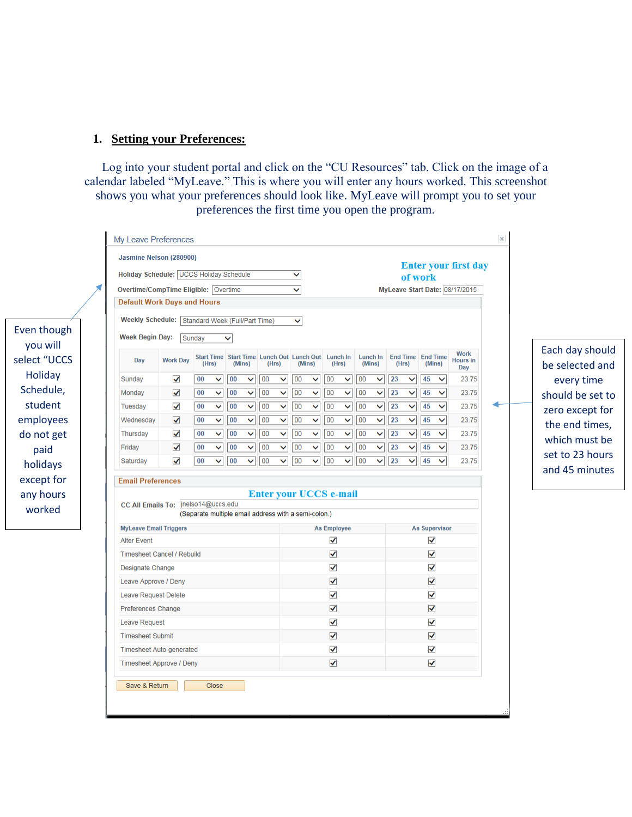#### **1. Setting your Preferences:**

Log into your student portal and click on the "CU Resources" tab. Click on the image of a calendar labeled "MyLeave." This is where you will enter any hours worked. This screenshot shows you what your preferences should look like. MyLeave will prompt you to set your preferences the first time you open the program.

| Holiday Schedule: UCCS Holiday Schedule         | Jasmine Nelson (280900) |        |                                                             |    |              |       |              | ◡            |              |                      |              |    |                         |    | of work                           |                      |              | <b>Enter your first day</b>    |                  |
|-------------------------------------------------|-------------------------|--------|-------------------------------------------------------------|----|--------------|-------|--------------|--------------|--------------|----------------------|--------------|----|-------------------------|----|-----------------------------------|----------------------|--------------|--------------------------------|------------------|
| Overtime/CompTime Eligible: Overtime            |                         |        |                                                             |    |              |       |              | ◡            |              |                      |              |    |                         |    |                                   |                      |              | MyLeave Start Date: 08/17/2015 |                  |
| <b>Default Work Days and Hours</b>              |                         |        |                                                             |    |              |       |              |              |              |                      |              |    |                         |    |                                   |                      |              |                                |                  |
| Weekly Schedule: Standard Week (Full/Part Time) |                         |        |                                                             |    |              |       |              | $\checkmark$ |              |                      |              |    |                         |    |                                   |                      |              |                                |                  |
| <b>Week Begin Day:</b>                          |                         | Sunday |                                                             | v  |              |       |              |              |              |                      |              |    |                         |    |                                   |                      |              |                                |                  |
|                                                 |                         |        |                                                             |    |              |       |              |              |              |                      |              |    |                         |    |                                   |                      |              | <b>Work</b>                    | Each day should  |
| Day                                             | <b>Work Day</b>         |        | Start Time Start Time Lunch Out Lunch Out Lunch In<br>(Hrs) |    | (Mins)       | (Hrs) |              |              | (Mins)       |                      | (Hrs)        |    | Lunch In<br>(Mins)      |    | <b>End Time End Time</b><br>(Hrs) |                      | (Mins)       | <b>Hours in</b><br>Day         | be selected and  |
| Sunday                                          | ✔                       | 00     | $\checkmark$                                                | 00 | ◡            | 00    | $\checkmark$ | 00           | ◡            | 00                   | ◡            | 00 | ◡                       | 23 | $\checkmark$                      | 45                   | $\checkmark$ | 23.75                          | every time       |
| Monday                                          | ✔                       | 00     | $\checkmark$                                                | 00 | Ÿ            | 00    | v            | 00           | ◡            | 00                   | $\checkmark$ | 00 | V                       | 23 | v                                 | 45                   | $\checkmark$ | 23.75                          | should be set to |
| Tuesday                                         | ✔                       | 00     | $\checkmark$                                                | 00 | Ÿ            | 00    | $\checkmark$ | 00           | $\checkmark$ | 00                   | $\checkmark$ | 00 | $\checkmark$            | 23 | v                                 | 45                   | $\checkmark$ | 23.75                          | zero except for  |
| Wednesday                                       | ✔                       | 00     | $\checkmark$                                                | 00 | ×            | 00    | v            | 00           | $\checkmark$ | 00                   | $\checkmark$ | 00 | $\overline{\mathsf{v}}$ | 23 | v                                 | 45                   | $\checkmark$ | 23.75                          | the end times,   |
| Thursday                                        | ✔                       | 00     | $\checkmark$                                                | 00 | ×            | 00    | $\checkmark$ | 00           | $\checkmark$ | 00                   | v            | 00 | $\checkmark$            | 23 | v                                 | 45                   | $\checkmark$ | 23.75                          | which must be    |
| Friday                                          | $\checkmark$            | 00     | $\checkmark$                                                | 00 | $\checkmark$ | 00    | $\checkmark$ | 00           | $\checkmark$ | 00                   | $\checkmark$ | 00 | $\checkmark$            | 23 | v                                 | 45                   | $\checkmark$ | 23.75                          | set to 23 hours  |
| Saturday                                        | ✓                       | 00     | $\checkmark$                                                | 00 | $\checkmark$ | 00    | $\checkmark$ | 00           | $\checkmark$ | 00                   | $\checkmark$ | 00 | $\checkmark$            | 23 | $\checkmark$                      | 45                   | $\checkmark$ | 23.75                          | and 45 minutes   |
| CC All Emails To:   inelso14@uccs.edu           |                         |        | (Separate multiple email address with a semi-colon.)        |    |              |       |              |              |              |                      |              |    |                         |    |                                   |                      |              |                                |                  |
| <b>MyLeave Email Triggers</b>                   |                         |        |                                                             |    |              |       |              |              |              | <b>As Employee</b>   |              |    |                         |    |                                   | <b>As Supervisor</b> |              |                                |                  |
| <b>Alter Event</b>                              |                         |        |                                                             |    |              |       |              |              |              | ✔                    |              |    |                         |    |                                   | √                    |              |                                |                  |
| <b>Timesheet Cancel / Rebuild</b>               |                         |        |                                                             |    |              |       |              |              |              | $\blacktriangledown$ |              |    |                         |    |                                   | $\blacktriangledown$ |              |                                |                  |
|                                                 |                         |        |                                                             |    |              |       |              |              |              | ✔                    |              |    |                         |    |                                   | √                    |              |                                |                  |
| Designate Change                                |                         |        |                                                             |    |              |       |              |              |              | $\blacktriangledown$ |              |    |                         |    |                                   | $\blacktriangledown$ |              |                                |                  |
| Leave Approve / Deny                            |                         |        |                                                             |    |              |       |              |              |              | ✔                    |              |    |                         |    |                                   | √                    |              |                                |                  |
| Leave Request Delete                            |                         |        |                                                             |    |              |       |              |              |              | $\blacktriangledown$ |              |    |                         |    |                                   | √                    |              |                                |                  |
| Preferences Change                              |                         |        |                                                             |    |              |       |              |              |              | ✔                    |              |    |                         |    |                                   | √                    |              |                                |                  |
| <b>Leave Request</b>                            |                         |        |                                                             |    |              |       |              |              |              | ✔                    |              |    |                         |    |                                   | $\blacktriangledown$ |              |                                |                  |
| <b>Timesheet Submit</b>                         |                         |        |                                                             |    |              |       |              |              |              | ✔                    |              |    |                         |    |                                   | ✔                    |              |                                |                  |
| <b>Timesheet Auto-generated</b>                 |                         |        |                                                             |    |              |       |              |              |              |                      |              |    |                         |    |                                   | $\blacktriangledown$ |              |                                |                  |
| Timesheet Approve / Deny                        |                         |        |                                                             |    |              |       |              |              |              | ✔                    |              |    |                         |    |                                   |                      |              |                                |                  |

Even though you will select "UCCS Holiday Schedule, student employees do not get paid holidays except for any hours worked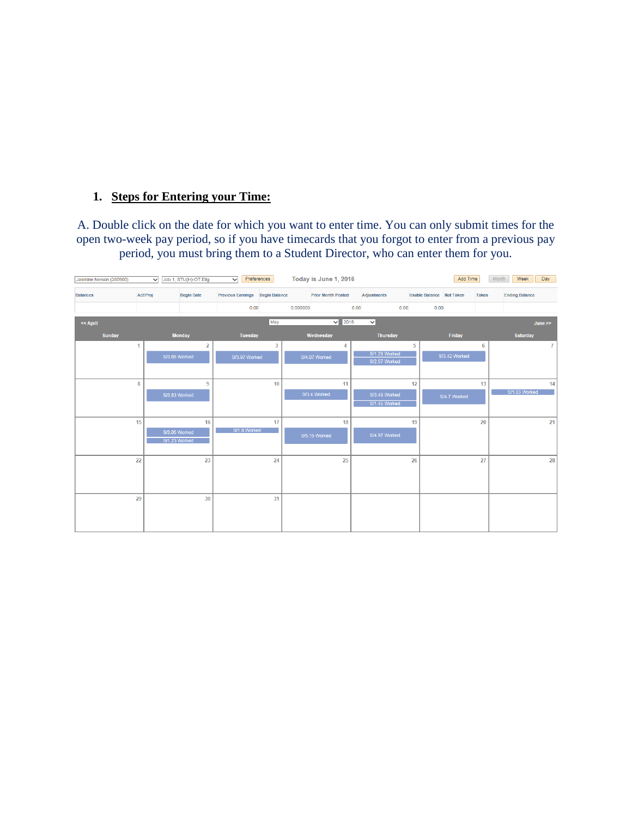### **1. Steps for Entering your Time:**

A. Double click on the date for which you want to enter time. You can only submit times for the open two-week pay period, so if you have timecards that you forgot to enter from a previous pay period, you must bring them to a Student Director, who can enter them for you.

| Jasmine Nelson (280900)            | Job 1, STU(H)-OT Elig<br>$\checkmark$ | Preferences<br>$\checkmark$     | Today is June 1, 2016     |                                                       | Add Time      | Month<br>Week<br>Day  |
|------------------------------------|---------------------------------------|---------------------------------|---------------------------|-------------------------------------------------------|---------------|-----------------------|
| <b>Act/Proj</b><br><b>Balances</b> | <b>Begin Date</b>                     | Previous Earnings Begin Balance | <b>Prior Month Posted</b> | <b>Adjustments</b><br><b>Usable Balance</b> Not Taken | <b>Taken</b>  | <b>Ending Balance</b> |
|                                    |                                       | 0.00                            | 0.000000                  | 0.00<br>0.00                                          | 0.00          |                       |
| << April                           |                                       | May                             | 2016<br>$\vee$            | $\checkmark$                                          |               | June >                |
| <b>Sunday</b>                      | <b>Monday</b>                         | <b>Tuesday</b>                  | Wednesday                 | <b>Thursday</b>                                       | Friday        | <b>Saturday</b>       |
| 1                                  | $\overline{a}$                        | $\overline{3}$                  | 4                         | 5                                                     | 6             | $\overline{I}$        |
|                                    | S/3.85 Worked                         | S/3.97 Worked                   | S/4.07 Worked             | S/1.28 Worked<br>S/2.57 Worked                        | S/3.42 Worked |                       |
|                                    |                                       |                                 |                           |                                                       |               |                       |
| 8                                  | 9                                     | 10                              | 11                        | 12                                                    | 13            | 14                    |
|                                    | S/3.83 Worked                         |                                 | S/3.4 Worked              | S/3.48 Worked                                         | S/4.7 Worked  | S/1.83 Worked         |
|                                    |                                       |                                 |                           | S/1.45 Worked                                         |               |                       |
| 15                                 | 16                                    | 17                              | 18                        | 19                                                    | 20            | 21                    |
|                                    | S/3.05 Worked                         | S/1.8 Worked                    | S/5.15 Worked             | S/4.97 Worked                                         |               |                       |
|                                    | S/1.23 Worked                         |                                 |                           |                                                       |               |                       |
| 22                                 | 23                                    | 24                              | 25                        | 26                                                    | 27            | 28                    |
|                                    |                                       |                                 |                           |                                                       |               |                       |
|                                    |                                       |                                 |                           |                                                       |               |                       |
| 29                                 | 30                                    | 31                              |                           |                                                       |               |                       |
|                                    |                                       |                                 |                           |                                                       |               |                       |
|                                    |                                       |                                 |                           |                                                       |               |                       |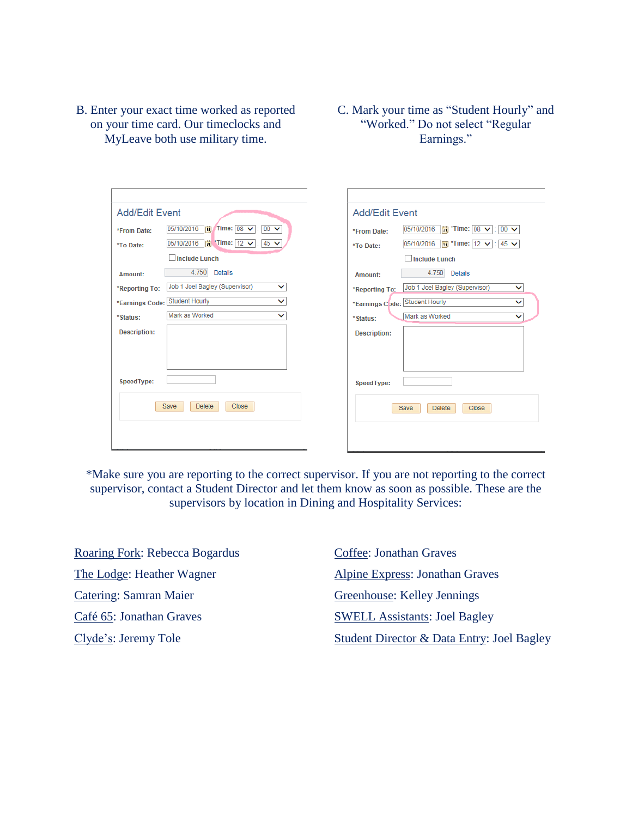- B. Enter your exact time worked as reported on your time card. Our timeclocks and MyLeave both use military time.
- C. Mark your time as "Student Hourly" and "Worked." Do not select "Regular Earnings."

| <b>Add/Edit Event</b><br><b>Add/Edit Event</b><br>$\frac{1}{2}$ Time: 08 $\sqrt{ }$<br>05/10/2016<br>$00 \vee$<br><b>hii</b> *Time: 08 ∨ : 00 ∨<br>05/10/2016<br>t.<br>*From Date:<br>*From Date:<br>$\frac{1}{2}$ Time: 12 $\vee$<br>$45 \vee$<br>05/10/2016<br>05/10/2016<br>$\frac{1}{2}$ *Time: 12 $\vee$<br>$: 45 \vee$<br>t.<br>*To Date:<br>*To Date:<br><b>Include Lunch</b><br>Include Lunch<br>4.750<br><b>Details</b><br>4.750<br><b>Details</b><br>Amount:<br>Amount:<br>Job 1 Joel Bagley (Supervisor)<br>Job 1 Joel Bagley (Supervisor)<br>$\checkmark$<br>$\checkmark$<br>*Reporting To:<br>*Reporting To:<br>*Earnings Code: Student Hourly<br>$\checkmark$<br>Student Hourly<br>$\checkmark$<br>*Earnings Code:<br>Mark as Worked<br>$\check{ }$<br>Mark as Worked<br>$\checkmark$<br>*Status:<br>*Status:<br><b>Description:</b><br><b>Description:</b><br>SpeedType:<br>SpeedType:<br>Close<br>Save<br><b>Delete</b><br>Close<br>Save<br><b>Delete</b> |  |
|---------------------------------------------------------------------------------------------------------------------------------------------------------------------------------------------------------------------------------------------------------------------------------------------------------------------------------------------------------------------------------------------------------------------------------------------------------------------------------------------------------------------------------------------------------------------------------------------------------------------------------------------------------------------------------------------------------------------------------------------------------------------------------------------------------------------------------------------------------------------------------------------------------------------------------------------------------------------------|--|
|                                                                                                                                                                                                                                                                                                                                                                                                                                                                                                                                                                                                                                                                                                                                                                                                                                                                                                                                                                           |  |
|                                                                                                                                                                                                                                                                                                                                                                                                                                                                                                                                                                                                                                                                                                                                                                                                                                                                                                                                                                           |  |
|                                                                                                                                                                                                                                                                                                                                                                                                                                                                                                                                                                                                                                                                                                                                                                                                                                                                                                                                                                           |  |
|                                                                                                                                                                                                                                                                                                                                                                                                                                                                                                                                                                                                                                                                                                                                                                                                                                                                                                                                                                           |  |

\*Make sure you are reporting to the correct supervisor. If you are not reporting to the correct supervisor, contact a Student Director and let them know as soon as possible. These are the supervisors by location in Dining and Hospitality Services:

Roaring Fork: Rebecca Bogardus The Lodge: Heather Wagner Catering: Samran Maier Café 65: Jonathan Graves Clyde's: Jeremy Tole

Coffee: Jonathan Graves Alpine Express: Jonathan Graves Greenhouse: Kelley Jennings SWELL Assistants: Joel Bagley Student Director & Data Entry: Joel Bagley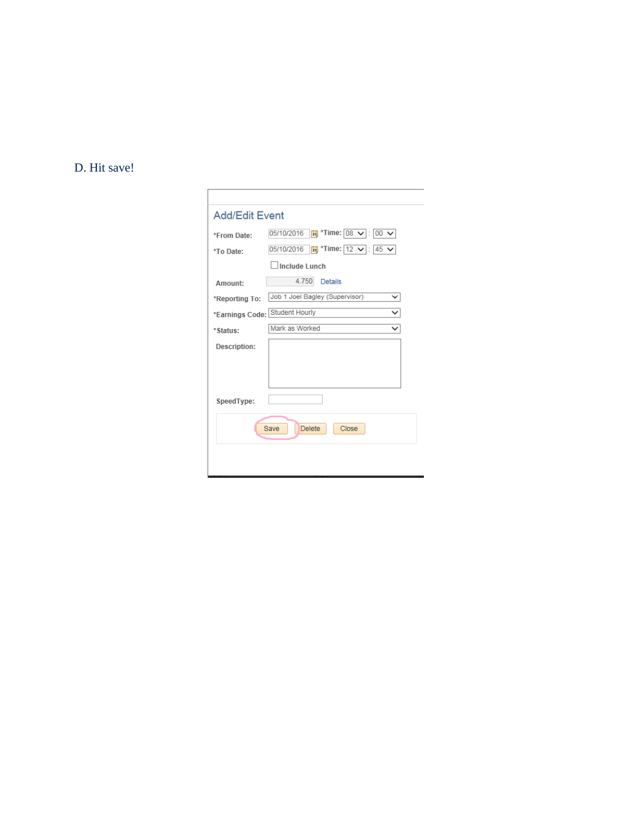## D. Hit save!

 $\Gamma$ 

| *From Date:                    | <b>简</b> *Time: $\boxed{08}$ ∨ : $\boxed{00}$ ∨<br>05/10/2016 |
|--------------------------------|---------------------------------------------------------------|
| *To Date:                      | 05/10/2016                                                    |
|                                | Include Lunch                                                 |
| Amount:                        | 4.750<br><b>Details</b>                                       |
| *Reporting To:                 | Job 1 Joel Bagley (Supervisor)<br>$\check{ }$                 |
| *Earnings Code: Student Hourly | ◡                                                             |
| *Status:                       | Mark as Worked<br>$\checkmark$                                |
| <b>Description:</b>            |                                                               |
|                                |                                                               |
|                                |                                                               |
| SpeedType:                     |                                                               |
|                                | Close<br><b>Save</b><br><b>Delete</b>                         |
|                                |                                                               |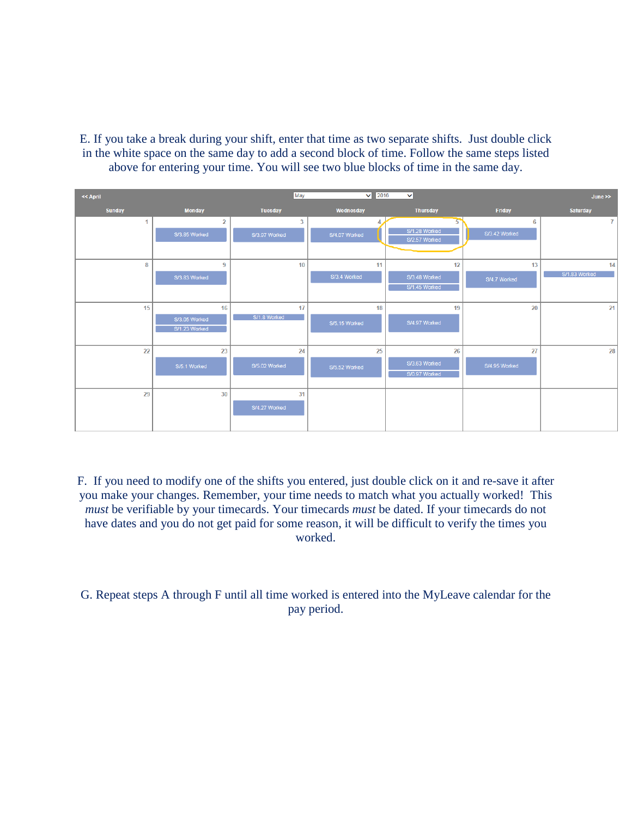E. If you take a break during your shift, enter that time as two separate shifts. Just double click in the white space on the same day to add a second block of time. Follow the same steps listed above for entering your time. You will see two blue blocks of time in the same day.

| << April         |                | May            | $\vee$ 2016   | $\checkmark$                   |                 | June            |
|------------------|----------------|----------------|---------------|--------------------------------|-----------------|-----------------|
| <b>Sunday</b>    | <b>Monday</b>  | <b>Tuesday</b> | Wednesday     | <b>Thursday</b>                | Friday          | <b>Saturday</b> |
| 1                | $\overline{2}$ | 3              |               | 5                              | $6\phantom{1}6$ | $\mathbf{7}$    |
|                  | S/3.85 Worked  | S/3.97 Worked  | S/4.07 Worked | S/1.28 Worked<br>S/2.57 Worked | S/3.42 Worked   |                 |
|                  |                |                |               |                                |                 |                 |
| 8                | 9              | 10             | 11            | 12                             | 13              | 14              |
|                  | S/3.83 Worked  |                | S/3.4 Worked  | S/3.48 Worked                  | S/4.7 Worked    | S/1.83 Worked   |
|                  |                |                |               | S/1.45 Worked                  |                 |                 |
| 15 <sup>15</sup> | 16             | 17             | 18            | 19                             | 20              | 21              |
|                  | S/3.05 Worked  | S/1.8 Worked   | S/5.15 Worked | S/4.97 Worked                  |                 |                 |
|                  | S/1.23 Worked  |                |               |                                |                 |                 |
| 22               | 23             | 24             | 25            | 26                             | 27              | 28              |
|                  | S/5.1 Worked   | S/5.02 Worked  | S/5.52 Worked | S/3.63 Worked                  | S/4.95 Worked   |                 |
|                  |                |                |               | S/0.97 Worked                  |                 |                 |
|                  |                | 31             |               |                                |                 |                 |
| 29               | 30             |                |               |                                |                 |                 |
|                  |                | S/4.27 Worked  |               |                                |                 |                 |
|                  |                |                |               |                                |                 |                 |

F. If you need to modify one of the shifts you entered, just double click on it and re-save it after you make your changes. Remember, your time needs to match what you actually worked! This *must* be verifiable by your timecards. Your timecards *must* be dated. If your timecards do not have dates and you do not get paid for some reason, it will be difficult to verify the times you worked.

G. Repeat steps A through F until all time worked is entered into the MyLeave calendar for the pay period.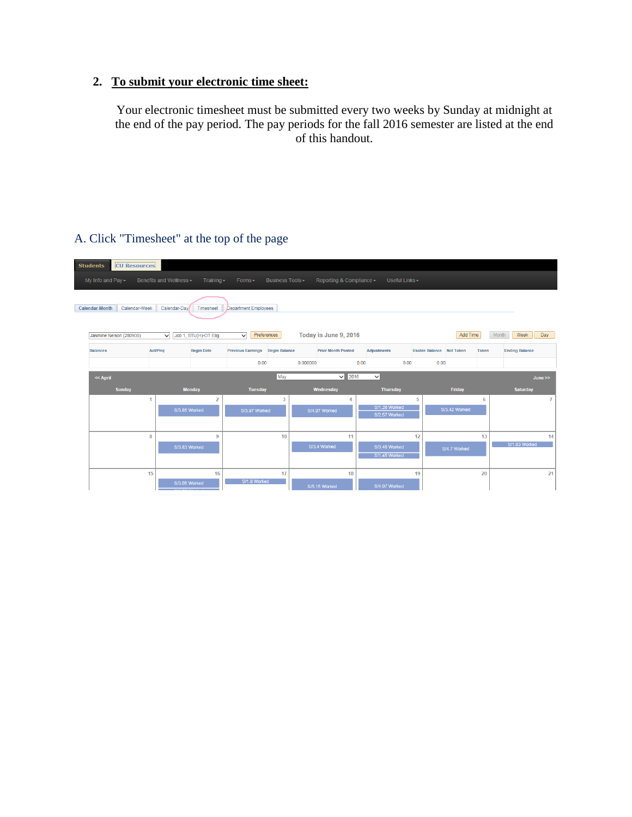### **2. To submit your electronic time sheet:**

Your electronic timesheet must be submitted every two weeks by Sunday at midnight at the end of the pay period. The pay periods for the fall 2016 semester are listed at the end of this handout.

| <b>Students</b>                                                                       | <b>CU Resources</b> |                                       |                   |                                 |                  |          |                           |                                |                 |                          |               |              |                       |        |
|---------------------------------------------------------------------------------------|---------------------|---------------------------------------|-------------------|---------------------------------|------------------|----------|---------------------------|--------------------------------|-----------------|--------------------------|---------------|--------------|-----------------------|--------|
| My Info and Pay $\sim$                                                                |                     | Benefits and Wellness -               | Training $\sim$   | Forms-                          | Business Tools - |          | Reporting & Compliance -  |                                | Useful Links -  |                          |               |              |                       |        |
| Calendar-Month<br>Calendar-Week<br>Calendar-Davi<br>Department Employees<br>Timesheet |                     |                                       |                   |                                 |                  |          |                           |                                |                 |                          |               |              |                       |        |
| Jasmine Nelson (280900)                                                               |                     | Job 1, STU(H)-OT Elig<br>$\checkmark$ |                   | Preferences<br>$\checkmark$     |                  |          | Today is June 9, 2016     |                                |                 |                          | Add Time      |              | Month<br>Week         | Day    |
| <b>Balances</b>                                                                       |                     | <b>Act/Proj</b>                       | <b>Begin Date</b> | Previous Earnings Begin Balance |                  |          | <b>Prior Month Posted</b> | <b>Adjustments</b>             |                 | Usable Balance Not Taken |               | <b>Taken</b> | <b>Ending Balance</b> |        |
|                                                                                       |                     |                                       |                   | 0.00                            |                  | 0.000000 |                           | 0.00                           | 0.00            | 0.00                     |               |              |                       |        |
| << April                                                                              |                     |                                       |                   |                                 | May              |          | 2016<br>$\checkmark$      | $\checkmark$                   |                 |                          |               |              |                       | June > |
| <b>Sunday</b>                                                                         |                     | <b>Monday</b>                         |                   | <b>Tuesday</b>                  |                  |          | Wednesday                 |                                | <b>Thursday</b> |                          | Friday        |              | <b>Saturday</b>       |        |
|                                                                                       | 1                   |                                       | $\overline{2}$    |                                 | $\overline{3}$   |          | 4                         |                                | 5               |                          |               | 6            |                       | 7      |
|                                                                                       |                     | S/3.85 Worked                         |                   | S/3.97 Worked                   |                  |          | S/4.07 Worked             | S/1.28 Worked<br>S/2.57 Worked |                 |                          | S/3.42 Worked |              |                       |        |
|                                                                                       |                     |                                       |                   |                                 |                  |          |                           |                                |                 |                          |               |              |                       |        |
|                                                                                       |                     |                                       |                   |                                 |                  |          |                           |                                |                 |                          |               |              |                       |        |
|                                                                                       | 8                   |                                       | 9                 |                                 | 10               |          | 11                        |                                | 12              |                          |               | 13           |                       | 14     |
|                                                                                       |                     | S/3.83 Worked                         |                   |                                 |                  |          | S/3.4 Worked              | S/3.48 Worked                  |                 |                          | S/4.7 Worked  |              | S/1.83 Worked         |        |
|                                                                                       |                     |                                       |                   |                                 |                  |          |                           | S/1.45 Worked                  |                 |                          |               |              |                       |        |
|                                                                                       | 15                  |                                       | 16                |                                 | 17               |          | 18                        |                                | 19              |                          |               | 20           |                       | 21     |

### A. Click "Timesheet" at the top of the page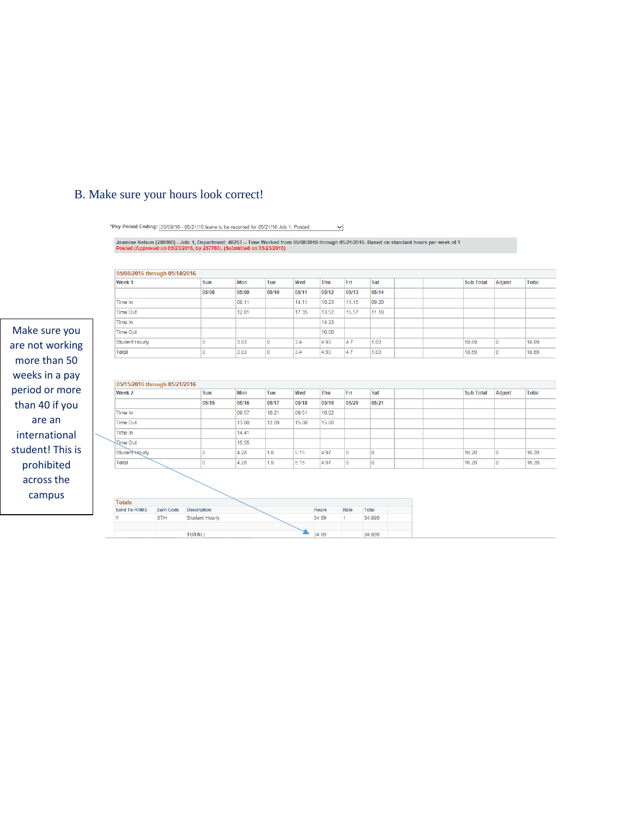### B. Make sure your hours look correct!

\*Pay Period Ending: 05/08/16 - 05/21/16 leave to be reported for 05/21/16 Job 1, Posted  $\checkmark$ 

Jasmine Nelson (280900) - Job: 1, Department: 40253 -- Time Worked from 05/08/2016 through 05/21/2016. Based on standard hours per week of 1<br>Posted (Approved on 05/23/2016, by 267766), (Submitted on 05/23/2016)

| 05/08/2016 through 05/14/2016 |            |                       |       |       |       |              |       |              |                  |               |
|-------------------------------|------------|-----------------------|-------|-------|-------|--------------|-------|--------------|------------------|---------------|
| Week <sub>1</sub>             |            | Sun                   | Mon   | Tue   | Wed   | Thu          | Fri   | Sat          | <b>Sub Total</b> | Adjust        |
|                               |            | 05/08                 | 05/09 | 05/10 | 05/11 | 05/12        | 05/13 | 05/14        |                  |               |
| Time In                       |            |                       | 08.11 |       | 14.11 | 10.23        | 11.15 | 09.20        |                  |               |
| <b>Time Out</b>               |            |                       | 12.01 |       | 17.35 | 13.52        | 15.57 | 11.10        |                  |               |
| Time In                       |            |                       |       |       |       | 14.33        |       |              |                  |               |
| <b>Time Out</b>               |            |                       |       |       |       | 16.00        |       |              |                  |               |
| <b>Student Hourly</b>         |            | 0                     | 3.83  | ١o    | 3.4   | 4.93         | 4.7   | 1.83         | 18.69            | O             |
| <b>Total</b>                  |            | O                     | 3.83  | ١o    | 3.4   | 4.93         | 4.7   | 1.83         | 18.69            | I٥            |
| Week <sub>2</sub>             |            | Sun                   | Mon   | Tue   | Wed   | Thu          | Fri   | Sat          | <b>Sub Total</b> | <b>Adjust</b> |
| 05/15/2016 through 05/21/2016 |            |                       |       |       |       |              |       |              |                  |               |
|                               |            |                       |       |       |       |              |       |              |                  |               |
|                               |            | 05/15                 | 05/16 | 05/17 | 05/18 | 05/19        | 05/20 | 05/21        |                  |               |
| Time In                       |            |                       | 09.57 | 10.21 | 09.51 | 10.02        |       |              |                  |               |
| <b>Time Out</b>               |            |                       | 13.00 | 12.09 | 15.00 | 15.00        |       |              |                  |               |
| Time In                       |            |                       | 14.41 |       |       |              |       |              |                  |               |
| <b>Time Out</b>               |            |                       | 15.55 |       |       |              |       |              |                  |               |
| Student Hourly                |            | $\mathbf 0$           | 4.28  | 1.8   | 5.15  | 4.97         | O     | I٥           | 16.20            | o             |
| <b>Total</b>                  |            | 0                     | 4.28  | 1.8   | 5.15  | 4.97         | O     | 10           | 16.20            | 0             |
|                               |            |                       |       |       |       |              |       |              |                  |               |
|                               |            |                       |       |       |       |              |       |              |                  |               |
|                               |            |                       |       |       |       |              |       |              |                  |               |
| <b>Totals</b>                 |            |                       |       |       |       |              |       |              |                  |               |
| <b>Send To HRMS</b>           | Earn Code  | <b>Description</b>    |       |       |       | <b>Hours</b> | Rate  | <b>Total</b> |                  |               |
| Ÿ                             | <b>STH</b> | <b>Student Hourly</b> |       |       |       | 34.89        | 1     | 34.890       |                  |               |
|                               |            | <b>TOTAL:</b>         |       |       |       | 34.89        |       | 34.890       |                  |               |
|                               |            |                       |       |       |       |              |       |              |                  |               |

Make sure are not wo more than weeks in a period or n than  $40$  if are an internatio student! Th prohibite across th campus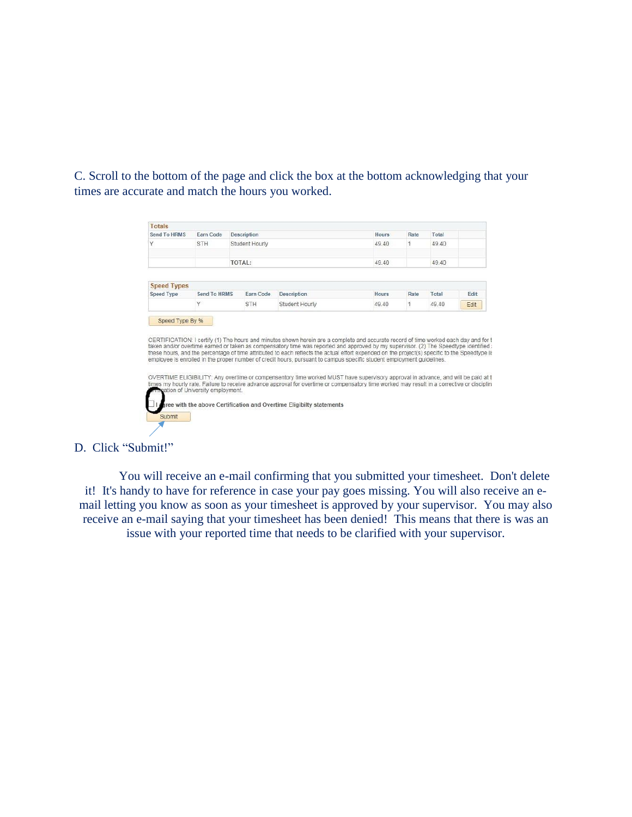C. Scroll to the bottom of the page and click the box at the bottom acknowledging that your times are accurate and match the hours you worked.

| <b>Totals</b>                           |                                  |                    |                                                                                                                                                                                                                                                                                                                                                                                                                   |              |      |       |      |
|-----------------------------------------|----------------------------------|--------------------|-------------------------------------------------------------------------------------------------------------------------------------------------------------------------------------------------------------------------------------------------------------------------------------------------------------------------------------------------------------------------------------------------------------------|--------------|------|-------|------|
| Send To HRMS                            | Earn Code                        | <b>Description</b> |                                                                                                                                                                                                                                                                                                                                                                                                                   | <b>Hours</b> | Rate | Total |      |
| Υ                                       | <b>STH</b>                       | Student Hourly     |                                                                                                                                                                                                                                                                                                                                                                                                                   | 49.40        | 1    | 49 40 |      |
|                                         |                                  |                    |                                                                                                                                                                                                                                                                                                                                                                                                                   |              |      |       |      |
|                                         |                                  | TOTAL:             |                                                                                                                                                                                                                                                                                                                                                                                                                   | 49.40        |      | 49.40 |      |
|                                         |                                  |                    |                                                                                                                                                                                                                                                                                                                                                                                                                   |              |      |       |      |
| <b>Speed Types</b><br><b>Speed Type</b> | Send To HRMS                     | Earn Code          | <b>Description</b>                                                                                                                                                                                                                                                                                                                                                                                                | <b>Hours</b> | Rate | Total | Fdit |
|                                         |                                  |                    |                                                                                                                                                                                                                                                                                                                                                                                                                   |              |      |       |      |
| Speed Type By %                         |                                  | <b>STH</b>         | Student Hourly<br>CERTIFICATION: I certify (1) The hours and minutes shown herein are a complete and accurate record of time worked each day and for t                                                                                                                                                                                                                                                            | 49.40        | 1    | 49.40 | Edit |
|                                         |                                  |                    | taken and/or overtime earned or taken as compensatory time was reported and approved by my supervisor. (2) The Speedtype identified a<br>these hours, and the percentage of time attributed to each reflects the actual effort expended on the project(s) specific to the Speedtype list<br>employee is enrolled in the proper number of credit hours, pursuant to campus specific student employment quidelines. |              |      |       |      |
|                                         |                                  |                    | OVERTIME ELIGIBILITY: Any overtime or compensentory time worked MUST have supervisory approval in advance, and will be paid at t<br>times my hourly rate. Failure to receive advance approval for overtime or compensatory time worked may result in a corrective or disciplin.                                                                                                                                   |              |      |       |      |
|                                         | pation of University employment. |                    |                                                                                                                                                                                                                                                                                                                                                                                                                   |              |      |       |      |
| <b>Submit</b>                           |                                  |                    | ree with the above Certification and Overtime Eligibilty statements                                                                                                                                                                                                                                                                                                                                               |              |      |       |      |

#### D. Click "Submit!"

You will receive an e-mail confirming that you submitted your timesheet. Don't delete it! It's handy to have for reference in case your pay goes missing. You will also receive an email letting you know as soon as your timesheet is approved by your supervisor. You may also receive an e-mail saying that your timesheet has been denied! This means that there is was an issue with your reported time that needs to be clarified with your supervisor.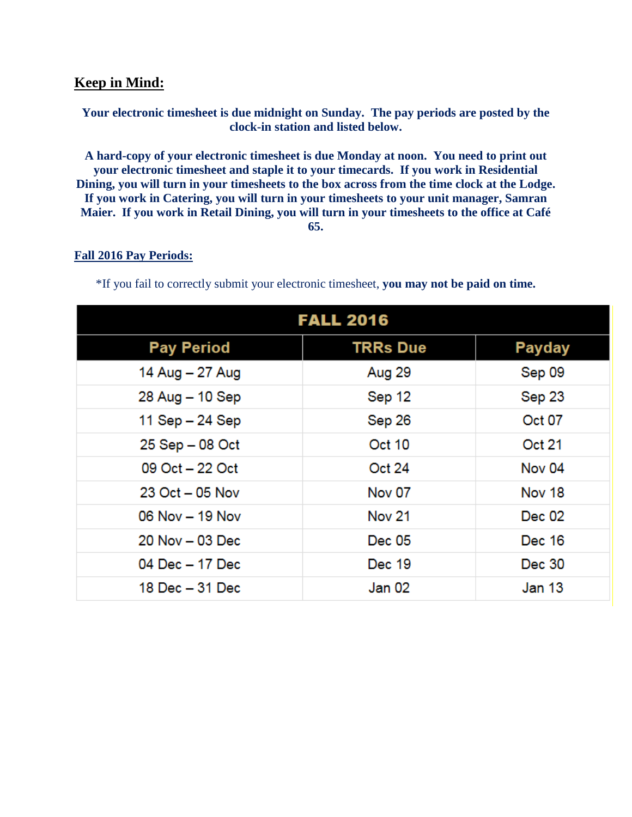### **Keep in Mind:**

#### **Your electronic timesheet is due midnight on Sunday. The pay periods are posted by the clock-in station and listed below.**

**A hard-copy of your electronic timesheet is due Monday at noon. You need to print out your electronic timesheet and staple it to your timecards. If you work in Residential Dining, you will turn in your timesheets to the box across from the time clock at the Lodge. If you work in Catering, you will turn in your timesheets to your unit manager, Samran Maier. If you work in Retail Dining, you will turn in your timesheets to the office at Café 65.**

#### **Fall 2016 Pay Periods:**

\*If you fail to correctly submit your electronic timesheet, **you may not be paid on time.**

| <b>FALL 2016</b>    |                 |               |  |  |  |  |  |  |  |  |
|---------------------|-----------------|---------------|--|--|--|--|--|--|--|--|
| <b>Pay Period</b>   | <b>TRRs Due</b> | Payday        |  |  |  |  |  |  |  |  |
| 14 Aug - 27 Aug     | Aug 29          | Sep 09        |  |  |  |  |  |  |  |  |
| 28 Aug - 10 Sep     | Sep 12          | Sep 23        |  |  |  |  |  |  |  |  |
| 11 Sep - 24 Sep     | Sep 26          | <b>Oct 07</b> |  |  |  |  |  |  |  |  |
| 25 Sep - 08 Oct     | <b>Oct 10</b>   | Oct 21        |  |  |  |  |  |  |  |  |
| 09 Oct - 22 Oct     | <b>Oct 24</b>   | Nov 04        |  |  |  |  |  |  |  |  |
| $23$ Oct $-05$ Nov  | Nov 07          | Nov 18        |  |  |  |  |  |  |  |  |
| $06$ Nov $-$ 19 Nov | <b>Nov 21</b>   | Dec 02        |  |  |  |  |  |  |  |  |
| 20 Nov - 03 Dec     | Dec 05          | Dec 16        |  |  |  |  |  |  |  |  |
| 04 Dec - 17 Dec     | Dec 19          | Dec 30        |  |  |  |  |  |  |  |  |
| 18 Dec – 31 Dec     | Jan 02          | Jan 13        |  |  |  |  |  |  |  |  |